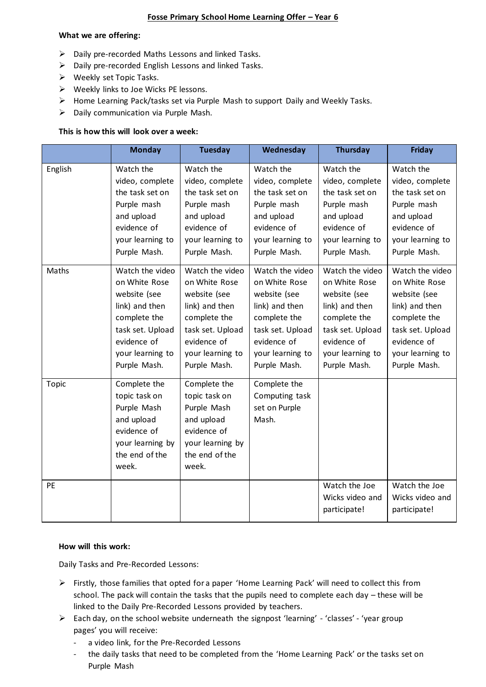## **Fosse Primary School Home Learning Offer – Year 6**

#### **What we are offering:**

- $\triangleright$  Daily pre-recorded Maths Lessons and linked Tasks.
- $\triangleright$  Daily pre-recorded English Lessons and linked Tasks.
- ➢ Weekly set Topic Tasks.
- ➢ Weekly links to Joe Wicks PE lessons.
- ➢ Home Learning Pack/tasks set via Purple Mash to support Daily and Weekly Tasks.
- ➢ Daily communication via Purple Mash.

#### **This is how this will look over a week:**

|         | <b>Monday</b>                                                                                                                                             | <b>Tuesday</b>                                                                                                                                            | Wednesday                                                                                                                                                 | <b>Thursday</b>                                                                                                                                           | <b>Friday</b>                                                                                                                                             |
|---------|-----------------------------------------------------------------------------------------------------------------------------------------------------------|-----------------------------------------------------------------------------------------------------------------------------------------------------------|-----------------------------------------------------------------------------------------------------------------------------------------------------------|-----------------------------------------------------------------------------------------------------------------------------------------------------------|-----------------------------------------------------------------------------------------------------------------------------------------------------------|
| English | Watch the<br>video, complete<br>the task set on<br>Purple mash<br>and upload<br>evidence of<br>your learning to<br>Purple Mash.                           | Watch the<br>video, complete<br>the task set on<br>Purple mash<br>and upload<br>evidence of<br>your learning to<br>Purple Mash.                           | Watch the<br>video, complete<br>the task set on<br>Purple mash<br>and upload<br>evidence of<br>your learning to<br>Purple Mash.                           | Watch the<br>video, complete<br>the task set on<br>Purple mash<br>and upload<br>evidence of<br>your learning to<br>Purple Mash.                           | Watch the<br>video, complete<br>the task set on<br>Purple mash<br>and upload<br>evidence of<br>your learning to<br>Purple Mash.                           |
| Maths   | Watch the video<br>on White Rose<br>website (see<br>link) and then<br>complete the<br>task set. Upload<br>evidence of<br>your learning to<br>Purple Mash. | Watch the video<br>on White Rose<br>website (see<br>link) and then<br>complete the<br>task set. Upload<br>evidence of<br>your learning to<br>Purple Mash. | Watch the video<br>on White Rose<br>website (see<br>link) and then<br>complete the<br>task set. Upload<br>evidence of<br>your learning to<br>Purple Mash. | Watch the video<br>on White Rose<br>website (see<br>link) and then<br>complete the<br>task set. Upload<br>evidence of<br>your learning to<br>Purple Mash. | Watch the video<br>on White Rose<br>website (see<br>link) and then<br>complete the<br>task set. Upload<br>evidence of<br>your learning to<br>Purple Mash. |
| Topic   | Complete the<br>topic task on<br>Purple Mash<br>and upload<br>evidence of<br>your learning by<br>the end of the<br>week.                                  | Complete the<br>topic task on<br>Purple Mash<br>and upload<br>evidence of<br>your learning by<br>the end of the<br>week.                                  | Complete the<br>Computing task<br>set on Purple<br>Mash.                                                                                                  |                                                                                                                                                           |                                                                                                                                                           |
| PE      |                                                                                                                                                           |                                                                                                                                                           |                                                                                                                                                           | Watch the Joe<br>Wicks video and<br>participate!                                                                                                          | Watch the Joe<br>Wicks video and<br>participate!                                                                                                          |

### **How will this work:**

Daily Tasks and Pre-Recorded Lessons:

- ➢ Firstly, those families that opted for a paper 'Home Learning Pack' will need to collect this from school. The pack will contain the tasks that the pupils need to complete each day – these will be linked to the Daily Pre-Recorded Lessons provided by teachers.
- ➢ Each day, on the school website underneath the signpost 'learning' 'classes' 'year group pages' you will receive:
	- a video link, for the Pre-Recorded Lessons
	- the daily tasks that need to be completed from the 'Home Learning Pack' or the tasks set on Purple Mash